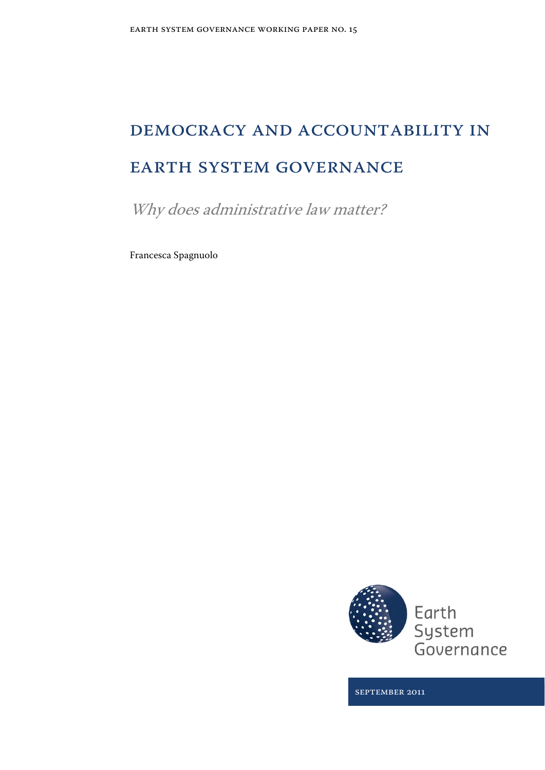# Democracy and Accountability in Earth System Governance

Why does administrative law matter?

Francesca Spagnuolo



September 2011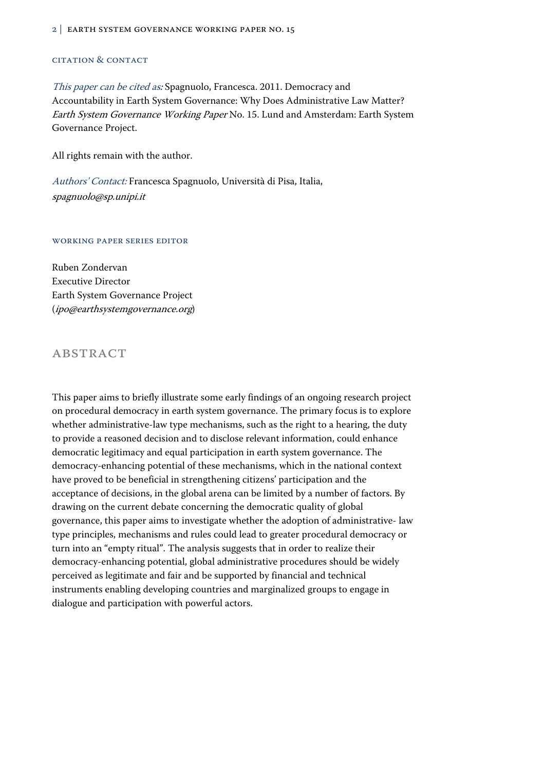#### Citation & Contact

This paper can be cited as: Spagnuolo, Francesca. 2011. Democracy and Accountability in Earth System Governance: Why Does Administrative Law Matter? Earth System Governance Working Paper No. 15. Lund and Amsterdam: Earth System Governance Project.

All rights remain with the author.

Authors' Contact: Francesca Spagnuolo, Università di Pisa, Italia, spagnuolo@sp.unipi.it

#### Working Paper Series Editor

Ruben Zondervan Executive Director Earth System Governance Project (ipo@earthsystemgovernance.org)

### **ABSTRACT**

This paper aims to briefly illustrate some early findings of an ongoing research project on procedural democracy in earth system governance. The primary focus is to explore whether administrative-law type mechanisms, such as the right to a hearing, the duty to provide a reasoned decision and to disclose relevant information, could enhance democratic legitimacy and equal participation in earth system governance. The democracy-enhancing potential of these mechanisms, which in the national context have proved to be beneficial in strengthening citizens' participation and the acceptance of decisions, in the global arena can be limited by a number of factors. By drawing on the current debate concerning the democratic quality of global governance, this paper aims to investigate whether the adoption of administrative- law type principles, mechanisms and rules could lead to greater procedural democracy or turn into an "empty ritual". The analysis suggests that in order to realize their democracy-enhancing potential, global administrative procedures should be widely perceived as legitimate and fair and be supported by financial and technical instruments enabling developing countries and marginalized groups to engage in dialogue and participation with powerful actors.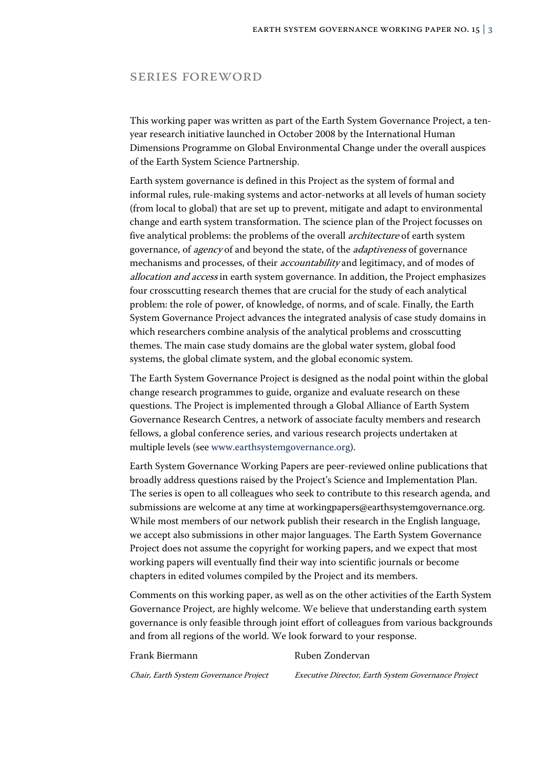### Series Foreword

This working paper was written as part of the Earth System Governance Project, a tenyear research initiative launched in October 2008 by the International Human Dimensions Programme on Global Environmental Change under the overall auspices of the Earth System Science Partnership.

Earth system governance is defined in this Project as the system of formal and informal rules, rule-making systems and actor-networks at all levels of human society (from local to global) that are set up to prevent, mitigate and adapt to environmental change and earth system transformation. The science plan of the Project focusses on five analytical problems: the problems of the overall architecture of earth system governance, of agency of and beyond the state, of the adaptiveness of governance mechanisms and processes, of their accountability and legitimacy, and of modes of allocation and access in earth system governance. In addition, the Project emphasizes four crosscutting research themes that are crucial for the study of each analytical problem: the role of power, of knowledge, of norms, and of scale. Finally, the Earth System Governance Project advances the integrated analysis of case study domains in which researchers combine analysis of the analytical problems and crosscutting themes. The main case study domains are the global water system, global food systems, the global climate system, and the global economic system.

The Earth System Governance Project is designed as the nodal point within the global change research programmes to guide, organize and evaluate research on these questions. The Project is implemented through a Global Alliance of Earth System Governance Research Centres, a network of associate faculty members and research fellows, a global conference series, and various research projects undertaken at multiple levels (see www.earthsystemgovernance.org).

Earth System Governance Working Papers are peer-reviewed online publications that broadly address questions raised by the Project's Science and Implementation Plan. The series is open to all colleagues who seek to contribute to this research agenda, and submissions are welcome at any time at workingpapers@earthsystemgovernance.org. While most members of our network publish their research in the English language, we accept also submissions in other major languages. The Earth System Governance Project does not assume the copyright for working papers, and we expect that most working papers will eventually find their way into scientific journals or become chapters in edited volumes compiled by the Project and its members.

Comments on this working paper, as well as on the other activities of the Earth System Governance Project, are highly welcome. We believe that understanding earth system governance is only feasible through joint effort of colleagues from various backgrounds and from all regions of the world. We look forward to your response.

#### Frank Biermann Ruben Zondervan

Chair, Earth System Governance Project Executive Director, Earth System Governance Project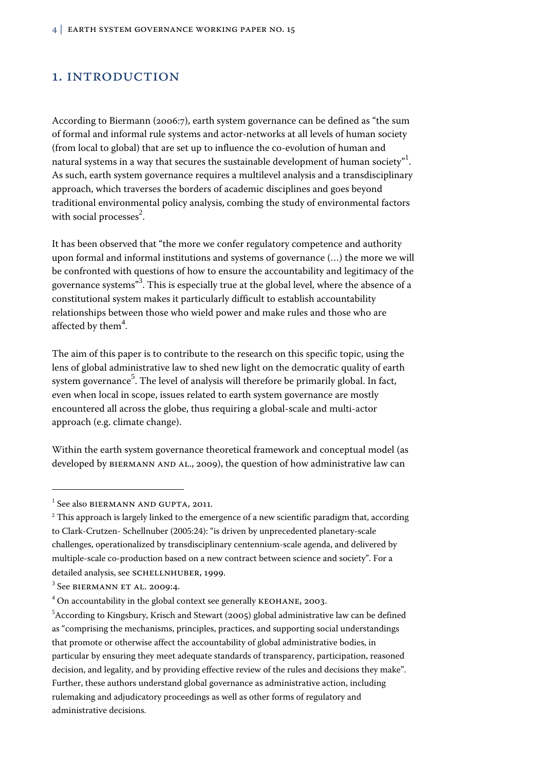### 1. INTRODUCTION

According to Biermann (2006:7), earth system governance can be defined as "the sum of formal and informal rule systems and actor-networks at all levels of human society (from local to global) that are set up to influence the co-evolution of human and natural systems in a way that secures the sustainable development of human society" $^{1}.$ As such, earth system governance requires a multilevel analysis and a transdisciplinary approach, which traverses the borders of academic disciplines and goes beyond traditional environmental policy analysis, combing the study of environmental factors with social processes $^{2}$ .

It has been observed that "the more we confer regulatory competence and authority upon formal and informal institutions and systems of governance (…) the more we will be confronted with questions of how to ensure the accountability and legitimacy of the governance systems" $^3$ . This is especially true at the global level, where the absence of a constitutional system makes it particularly difficult to establish accountability relationships between those who wield power and make rules and those who are affected by them $^4$ .

The aim of this paper is to contribute to the research on this specific topic, using the lens of global administrative law to shed new light on the democratic quality of earth system governance $^5$ . The level of analysis will therefore be primarily global. In fact, even when local in scope, issues related to earth system governance are mostly encountered all across the globe, thus requiring a global-scale and multi-actor approach (e.g. climate change).

Within the earth system governance theoretical framework and conceptual model (as developed by BIERMANN AND AL., 2009), the question of how administrative law can

 $\overline{a}$ 

 $^1$  See also BIERMANN AND GUPTA, 2011.

 $^2$  This approach is largely linked to the emergence of a new scientific paradigm that, according to Clark-Crutzen- Schellnuber (2005:24): "is driven by unprecedented planetary-scale challenges, operationalized by transdisciplinary centennium-scale agenda, and delivered by multiple-scale co-production based on a new contract between science and society". For a detailed analysis, see SCHELLNHUBER, 1999.

 $3$  See BIERMANN ET AL. 2009:4.

 $^4$  On accountability in the global context see generally KEOHANE, 2003.

 $^5$ According to Kingsbury, Krisch and Stewart (2005) global administrative law can be defined as "comprising the mechanisms, principles, practices, and supporting social understandings that promote or otherwise affect the accountability of global administrative bodies, in particular by ensuring they meet adequate standards of transparency, participation, reasoned decision, and legality, and by providing effective review of the rules and decisions they make". Further, these authors understand global governance as administrative action, including rulemaking and adjudicatory proceedings as well as other forms of regulatory and administrative decisions.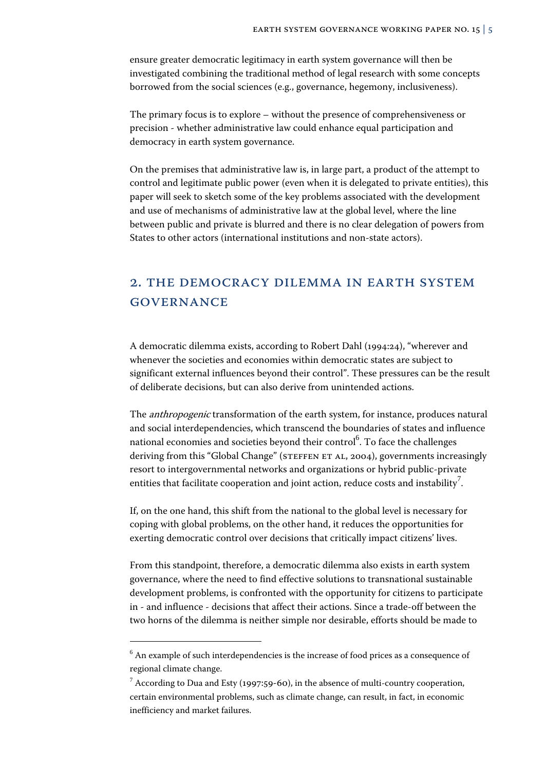ensure greater democratic legitimacy in earth system governance will then be investigated combining the traditional method of legal research with some concepts borrowed from the social sciences (e.g., governance, hegemony, inclusiveness).

The primary focus is to explore – without the presence of comprehensiveness or precision - whether administrative law could enhance equal participation and democracy in earth system governance.

On the premises that administrative law is, in large part, a product of the attempt to control and legitimate public power (even when it is delegated to private entities), this paper will seek to sketch some of the key problems associated with the development and use of mechanisms of administrative law at the global level, where the line between public and private is blurred and there is no clear delegation of powers from States to other actors (international institutions and non-state actors).

## 2. The democracy dilemma in earth system **GOVERNANCE**

A democratic dilemma exists, according to Robert Dahl (1994:24), "wherever and whenever the societies and economies within democratic states are subject to significant external influences beyond their control". These pressures can be the result of deliberate decisions, but can also derive from unintended actions.

The anthropogenic transformation of the earth system, for instance, produces natural and social interdependencies, which transcend the boundaries of states and influence national economies and societies beyond their control $^6$ . To face the challenges deriving from this "Global Change" (STEFFEN ET AL, 2004), governments increasingly resort to intergovernmental networks and organizations or hybrid public-private entities that facilitate cooperation and joint action, reduce costs and instability $^7$ .

If, on the one hand, this shift from the national to the global level is necessary for coping with global problems, on the other hand, it reduces the opportunities for exerting democratic control over decisions that critically impact citizens' lives.

From this standpoint, therefore, a democratic dilemma also exists in earth system governance, where the need to find effective solutions to transnational sustainable development problems, is confronted with the opportunity for citizens to participate in - and influence - decisions that affect their actions. Since a trade-off between the two horns of the dilemma is neither simple nor desirable, efforts should be made to

 $^6$  An example of such interdependencies is the increase of food prices as a consequence of regional climate change.

 $^7$  According to Dua and Esty (1997:59-60), in the absence of multi-country cooperation, certain environmental problems, such as climate change, can result, in fact, in economic inefficiency and market failures.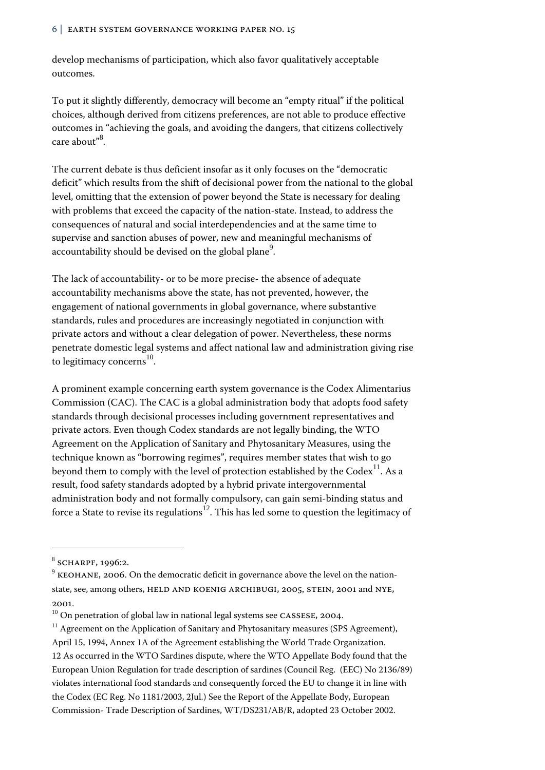develop mechanisms of participation, which also favor qualitatively acceptable outcomes.

To put it slightly differently, democracy will become an "empty ritual" if the political choices, although derived from citizens preferences, are not able to produce effective outcomes in "achieving the goals, and avoiding the dangers, that citizens collectively care about"<sup>8</sup>.

The current debate is thus deficient insofar as it only focuses on the "democratic deficit" which results from the shift of decisional power from the national to the global level, omitting that the extension of power beyond the State is necessary for dealing with problems that exceed the capacity of the nation-state. Instead, to address the consequences of natural and social interdependencies and at the same time to supervise and sanction abuses of power, new and meaningful mechanisms of accountability should be devised on the global plane $^9\cdot$ 

The lack of accountability- or to be more precise- the absence of adequate accountability mechanisms above the state, has not prevented, however, the engagement of national governments in global governance, where substantive standards, rules and procedures are increasingly negotiated in conjunction with private actors and without a clear delegation of power. Nevertheless, these norms penetrate domestic legal systems and affect national law and administration giving rise to legitimacy concerns<sup>10</sup>.

A prominent example concerning earth system governance is the Codex Alimentarius Commission (CAC). The CAC is a global administration body that adopts food safety standards through decisional processes including government representatives and private actors. Even though Codex standards are not legally binding, the WTO Agreement on the Application of Sanitary and Phytosanitary Measures, using the technique known as "borrowing regimes", requires member states that wish to go beyond them to comply with the level of protection established by the  $Codex^{11}$ . As a result, food safety standards adopted by a hybrid private intergovernmental administration body and not formally compulsory, can gain semi-binding status and force a State to revise its regulations<sup>12</sup>. This has led some to question the legitimacy of

j

 $8$  SCHARPF, 1996:2.

 $9$  KEOHANE, 2006. On the democratic deficit in governance above the level on the nationstate, see, among others, HELD AND KOENIG ARCHIBUGI, 2005, STEIN, 2001 and NYE, 2001.<br><sup>10</sup> On penetration of global law in national legal systems see CASSESE, 2004.

 $11$  Agreement on the Application of Sanitary and Phytosanitary measures (SPS Agreement), April 15, 1994, Annex 1A of the Agreement establishing the World Trade Organization. 12 As occurred in the WTO Sardines dispute, where the WTO Appellate Body found that the European Union Regulation for trade description of sardines (Council Reg. (EEC) No 2136/89) violates international food standards and consequently forced the EU to change it in line with the Codex (EC Reg. No 1181/2003, 2Jul.) See the Report of the Appellate Body, European Commission- Trade Description of Sardines, WT/DS231/AB/R, adopted 23 October 2002.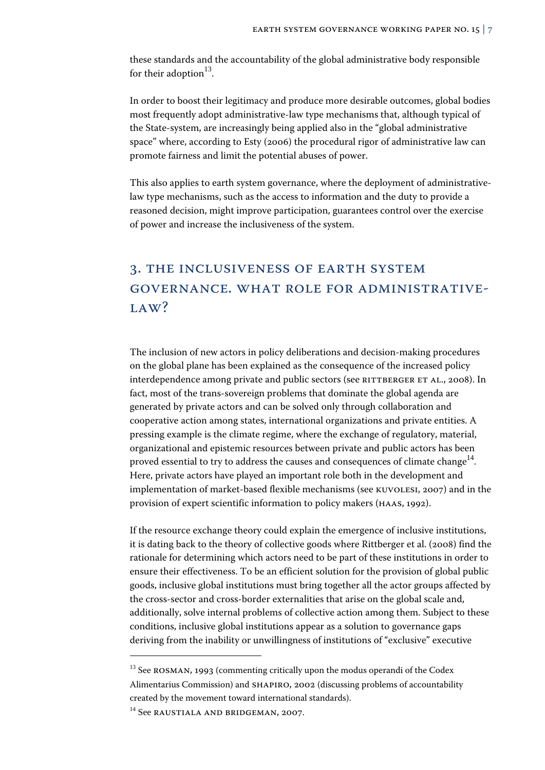these standards and the accountability of the global administrative body responsible for their adoption  $13$ .

In order to boost their legitimacy and produce more desirable outcomes, global bodies most frequently adopt administrative-law type mechanisms that, although typical of the State-system, are increasingly being applied also in the "global administrative space" where, according to Esty (2006) the procedural rigor of administrative law can promote fairness and limit the potential abuses of power.

This also applies to earth system governance, where the deployment of administrativelaw type mechanisms, such as the access to information and the duty to provide a reasoned decision, might improve participation, guarantees control over the exercise of power and increase the inclusiveness of the system.

# 3. The inclusiveness of earth system governance. What role for administrative-LAW?

The inclusion of new actors in policy deliberations and decision-making procedures on the global plane has been explained as the consequence of the increased policy interdependence among private and public sectors (see RITTBERGER ET AL., 2008). In fact, most of the trans-sovereign problems that dominate the global agenda are generated by private actors and can be solved only through collaboration and cooperative action among states, international organizations and private entities. A pressing example is the climate regime, where the exchange of regulatory, material, organizational and epistemic resources between private and public actors has been proved essential to try to address the causes and consequences of climate change<sup>14</sup>. Here, private actors have played an important role both in the development and implementation of market-based flexible mechanisms (see Kuvolesi, 2007) and in the provision of expert scientific information to policy makers (Haas, 1992).

If the resource exchange theory could explain the emergence of inclusive institutions, it is dating back to the theory of collective goods where Rittberger et al. (2008) find the rationale for determining which actors need to be part of these institutions in order to ensure their effectiveness. To be an efficient solution for the provision of global public goods, inclusive global institutions must bring together all the actor groups affected by the cross-sector and cross-border externalities that arise on the global scale and, additionally, solve internal problems of collective action among them. Subject to these conditions, inclusive global institutions appear as a solution to governance gaps deriving from the inability or unwillingness of institutions of "exclusive" executive

 $13$  See ROSMAN, 1993 (commenting critically upon the modus operandi of the Codex Alimentarius Commission) and SHAPIRO, 2002 (discussing problems of accountability created by the movement toward international standards).

<sup>&</sup>lt;sup>14</sup> See RAUSTIALA AND BRIDGEMAN, 2007.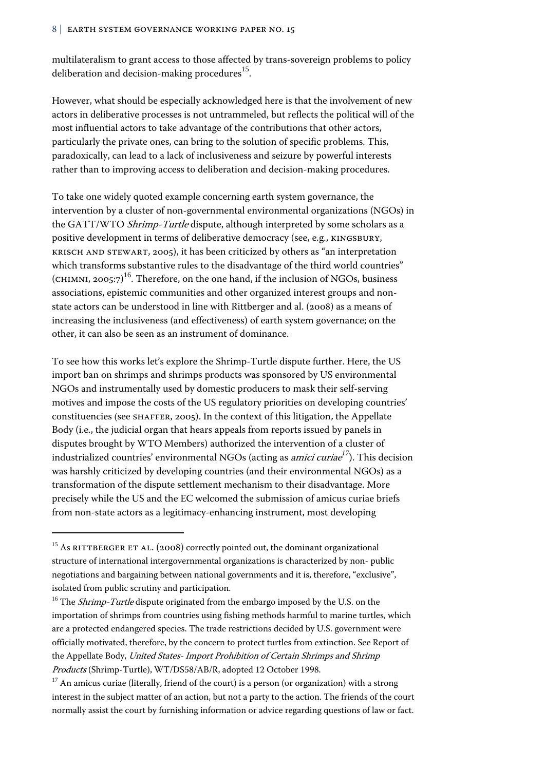multilateralism to grant access to those affected by trans-sovereign problems to policy deliberation and decision-making procedures<sup>15</sup>.

However, what should be especially acknowledged here is that the involvement of new actors in deliberative processes is not untrammeled, but reflects the political will of the most influential actors to take advantage of the contributions that other actors, particularly the private ones, can bring to the solution of specific problems. This, paradoxically, can lead to a lack of inclusiveness and seizure by powerful interests rather than to improving access to deliberation and decision-making procedures.

To take one widely quoted example concerning earth system governance, the intervention by a cluster of non-governmental environmental organizations (NGOs) in the GATT/WTO Shrimp-Turtle dispute, although interpreted by some scholars as a positive development in terms of deliberative democracy (see, e.g., Kingsbury, Krisch and Stewart, 2005), it has been criticized by others as "an interpretation which transforms substantive rules to the disadvantage of the third world countries" (CHIMNI, 2005:7) $^{16}$ . Therefore, on the one hand, if the inclusion of NGOs, business associations, epistemic communities and other organized interest groups and nonstate actors can be understood in line with Rittberger and al. (2008) as a means of increasing the inclusiveness (and effectiveness) of earth system governance; on the other, it can also be seen as an instrument of dominance.

To see how this works let's explore the Shrimp-Turtle dispute further. Here, the US import ban on shrimps and shrimps products was sponsored by US environmental NGOs and instrumentally used by domestic producers to mask their self-serving motives and impose the costs of the US regulatory priorities on developing countries' constituencies (see Shaffer, 2005). In the context of this litigation, the Appellate Body (i.e., the judicial organ that hears appeals from reports issued by panels in disputes brought by WTO Members) authorized the intervention of a cluster of industrialized countries' environmental NGOs (acting as amici curiae*17*). This decision was harshly criticized by developing countries (and their environmental NGOs) as a transformation of the dispute settlement mechanism to their disadvantage. More precisely while the US and the EC welcomed the submission of amicus curiae briefs from non-state actors as a legitimacy-enhancing instrument, most developing

 $\overline{a}$ 

 $15$  As RITTBERGER ET AL. (2008) correctly pointed out, the dominant organizational structure of international intergovernmental organizations is characterized by non- public negotiations and bargaining between national governments and it is, therefore, "exclusive", isolated from public scrutiny and participation.

<sup>&</sup>lt;sup>16</sup> The *Shrimp-Turtle* dispute originated from the embargo imposed by the U.S. on the importation of shrimps from countries using fishing methods harmful to marine turtles, which are a protected endangered species. The trade restrictions decided by U.S. government were officially motivated, therefore, by the concern to protect turtles from extinction. See Report of the Appellate Body, United States- Import Prohibition of Certain Shrimps and Shrimp Products (Shrimp-Turtle), WT/DS58/AB/R, adopted 12 October 1998.

 $17$  An amicus curiae (literally, friend of the court) is a person (or organization) with a strong interest in the subject matter of an action, but not a party to the action. The friends of the court normally assist the court by furnishing information or advice regarding questions of law or fact.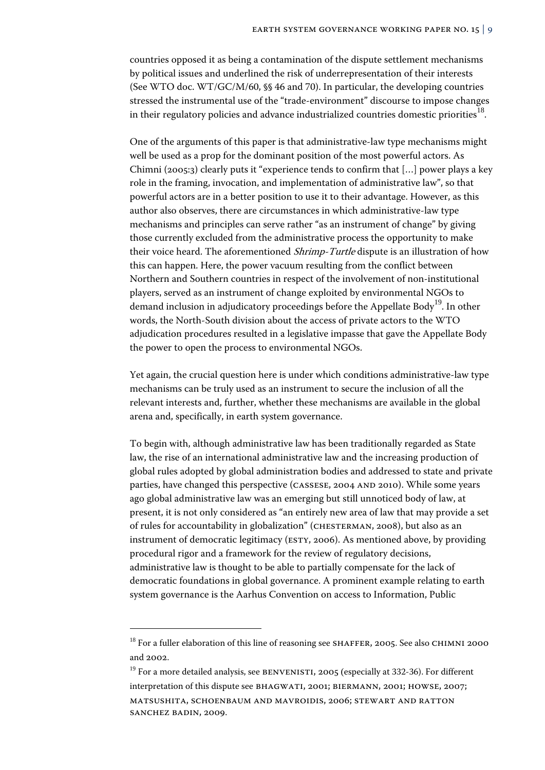countries opposed it as being a contamination of the dispute settlement mechanisms by political issues and underlined the risk of underrepresentation of their interests (See WTO doc. WT/GC/M/60, §§ 46 and 70). In particular, the developing countries stressed the instrumental use of the "trade-environment" discourse to impose changes in their regulatory policies and advance industrialized countries domestic priorities<sup>18</sup>.

One of the arguments of this paper is that administrative-law type mechanisms might well be used as a prop for the dominant position of the most powerful actors. As Chimni (2005:3) clearly puts it "experience tends to confirm that […] power plays a key role in the framing, invocation, and implementation of administrative law", so that powerful actors are in a better position to use it to their advantage. However, as this author also observes, there are circumstances in which administrative-law type mechanisms and principles can serve rather "as an instrument of change" by giving those currently excluded from the administrative process the opportunity to make their voice heard. The aforementioned *Shrimp-Turtle* dispute is an illustration of how this can happen. Here, the power vacuum resulting from the conflict between Northern and Southern countries in respect of the involvement of non-institutional players, served as an instrument of change exploited by environmental NGOs to demand inclusion in adjudicatory proceedings before the Appellate Body<sup>19</sup>. In other words, the North-South division about the access of private actors to the WTO adjudication procedures resulted in a legislative impasse that gave the Appellate Body the power to open the process to environmental NGOs.

Yet again, the crucial question here is under which conditions administrative-law type mechanisms can be truly used as an instrument to secure the inclusion of all the relevant interests and, further, whether these mechanisms are available in the global arena and, specifically, in earth system governance.

To begin with, although administrative law has been traditionally regarded as State law, the rise of an international administrative law and the increasing production of global rules adopted by global administration bodies and addressed to state and private parties, have changed this perspective (CASSESE, 2004 AND 2010). While some years ago global administrative law was an emerging but still unnoticed body of law, at present, it is not only considered as "an entirely new area of law that may provide a set of rules for accountability in globalization" (Chesterman, 2008), but also as an instrument of democratic legitimacy (ESTY, 2006). As mentioned above, by providing procedural rigor and a framework for the review of regulatory decisions, administrative law is thought to be able to partially compensate for the lack of democratic foundations in global governance. A prominent example relating to earth system governance is the Aarhus Convention on access to Information, Public

 $18$  For a fuller elaboration of this line of reasoning see SHAFFER, 2005. See also CHIMNI 2000 and 2002.

<sup>&</sup>lt;sup>19</sup> For a more detailed analysis, see BENVENISTI, 2005 (especially at 332-36). For different interpretation of this dispute see Bhagwati, 2001; Biermann, 2001; Howse, 2007; Matsushita, Schoenbaum and Mavroidis, 2006; Stewart and Ratton Sanchez Badin, 2009.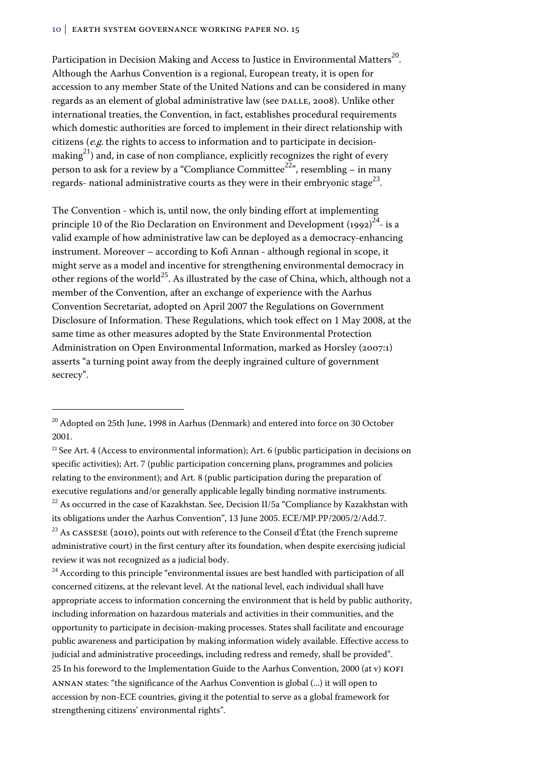Participation in Decision Making and Access to Justice in Environmental Matters<sup>20</sup>. Although the Aarhus Convention is a regional, European treaty, it is open for accession to any member State of the United Nations and can be considered in many regards as an element of global administrative law (see DALLE, 2008). Unlike other international treaties, the Convention, in fact, establishes procedural requirements which domestic authorities are forced to implement in their direct relationship with citizens (e.g. the rights to access to information and to participate in decisionmaking<sup>21</sup>) and, in case of non compliance, explicitly recognizes the right of every person to ask for a review by a "Compliance Committee<sup>22</sup>", resembling – in many regards- national administrative courts as they were in their embryonic stage<sup>23</sup>.

The Convention - which is, until now, the only binding effort at implementing principle 10 of the Rio Declaration on Environment and Development (1992) $^{24}$ - is a valid example of how administrative law can be deployed as a democracy-enhancing instrument. Moreover – according to Kofi Annan - although regional in scope, it might serve as a model and incentive for strengthening environmental democracy in other regions of the world<sup>25</sup>. As illustrated by the case of China, which, although not a member of the Convention, after an exchange of experience with the Aarhus Convention Secretariat, adopted on April 2007 the Regulations on Government Disclosure of Information. These Regulations, which took effect on 1 May 2008, at the same time as other measures adopted by the State Environmental Protection Administration on Open Environmental Information, marked as Horsley (2007:1) asserts "a turning point away from the deeply ingrained culture of government secrecy".

 $\overline{a}$ 

<sup>21</sup> See Art. 4 (Access to environmental information); Art. 6 (public participation in decisions on specific activities); Art. 7 (public participation concerning plans, programmes and policies relating to the environment); and Art. 8 (public participation during the preparation of executive regulations and/or generally applicable legally binding normative instruments.  $22$  As occurred in the case of Kazakhstan. See, Decision II/5a "Compliance by Kazakhstan with its obligations under the Aarhus Convention", 13 June 2005. ECE/MP.PP/2005/2/Add.7. <sup>23</sup> As CASSESE (2010), points out with reference to the Conseil d'État (the French supreme

administrative court) in the first century after its foundation, when despite exercising judicial review it was not recognized as a judicial body.

 $24$  According to this principle "environmental issues are best handled with participation of all concerned citizens, at the relevant level. At the national level, each individual shall have appropriate access to information concerning the environment that is held by public authority, including information on hazardous materials and activities in their communities, and the opportunity to participate in decision-making processes. States shall facilitate and encourage public awareness and participation by making information widely available. Effective access to judicial and administrative proceedings, including redress and remedy, shall be provided". 25 In his foreword to the Implementation Guide to the Aarhus Convention, 2000 (at v) Kofi Annan states: "the significance of the Aarhus Convention is global (...) it will open to accession by non-ECE countries, giving it the potential to serve as a global framework for strengthening citizens' environmental rights".

<sup>&</sup>lt;sup>20</sup> Adopted on 25th June, 1998 in Aarhus (Denmark) and entered into force on 30 October 2001.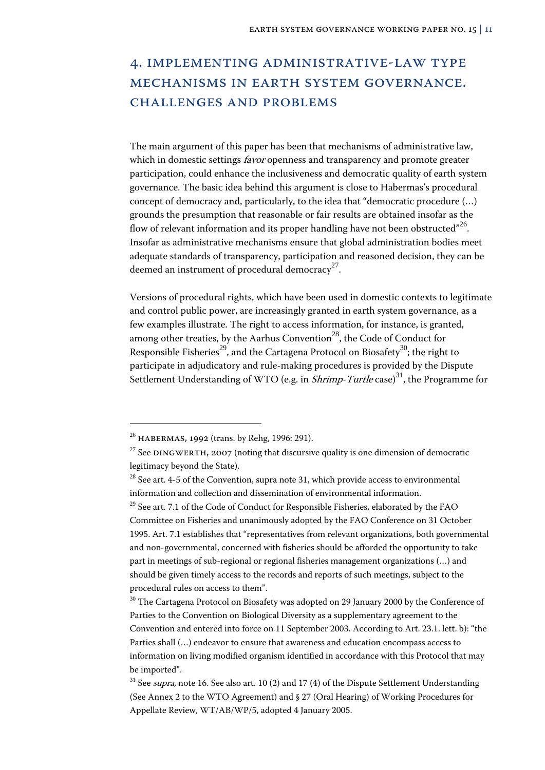# 4. Implementing administrative-law type mechanisms in earth system governance. Challenges and problems

The main argument of this paper has been that mechanisms of administrative law, which in domestic settings *favor* openness and transparency and promote greater participation, could enhance the inclusiveness and democratic quality of earth system governance. The basic idea behind this argument is close to Habermas's procedural concept of democracy and, particularly, to the idea that "democratic procedure (…) grounds the presumption that reasonable or fair results are obtained insofar as the flow of relevant information and its proper handling have not been obstructed $^{n26}$ . Insofar as administrative mechanisms ensure that global administration bodies meet adequate standards of transparency, participation and reasoned decision, they can be deemed an instrument of procedural democracy<sup>27</sup>.

Versions of procedural rights, which have been used in domestic contexts to legitimate and control public power, are increasingly granted in earth system governance, as a few examples illustrate. The right to access information, for instance, is granted, among other treaties, by the Aarhus Convention<sup>28</sup>, the Code of Conduct for Responsible Fisheries<sup>29</sup>, and the Cartagena Protocol on Biosafety<sup>30</sup>; the right to participate in adjudicatory and rule-making procedures is provided by the Dispute Settlement Understanding of WTO (e.g. in *Shrimp-Turtle* case)<sup>31</sup>, the Programme for

<sup>26</sup> Habermas, 1992 (trans. by Rehg, 1996: 291).

<sup>&</sup>lt;sup>27</sup> See DINGWERTH, 2007 (noting that discursive quality is one dimension of democratic legitimacy beyond the State).

 $28$  See art. 4-5 of the Convention, supra note 31, which provide access to environmental information and collection and dissemination of environmental information.

 $29$  See art. 7.1 of the Code of Conduct for Responsible Fisheries, elaborated by the FAO Committee on Fisheries and unanimously adopted by the FAO Conference on 31 October 1995. Art. 7.1 establishes that "representatives from relevant organizations, both governmental and non-governmental, concerned with fisheries should be afforded the opportunity to take part in meetings of sub-regional or regional fisheries management organizations (…) and should be given timely access to the records and reports of such meetings, subject to the procedural rules on access to them".

<sup>&</sup>lt;sup>30</sup> The Cartagena Protocol on Biosafety was adopted on 29 January 2000 by the Conference of Parties to the Convention on Biological Diversity as a supplementary agreement to the Convention and entered into force on 11 September 2003. According to Art. 23.1. lett. b): "the Parties shall (…) endeavor to ensure that awareness and education encompass access to information on living modified organism identified in accordance with this Protocol that may be imported".

 $31$  See *supra*, note 16. See also art. 10 (2) and 17 (4) of the Dispute Settlement Understanding (See Annex 2 to the WTO Agreement) and § 27 (Oral Hearing) of Working Procedures for Appellate Review, WT/AB/WP/5, adopted 4 January 2005.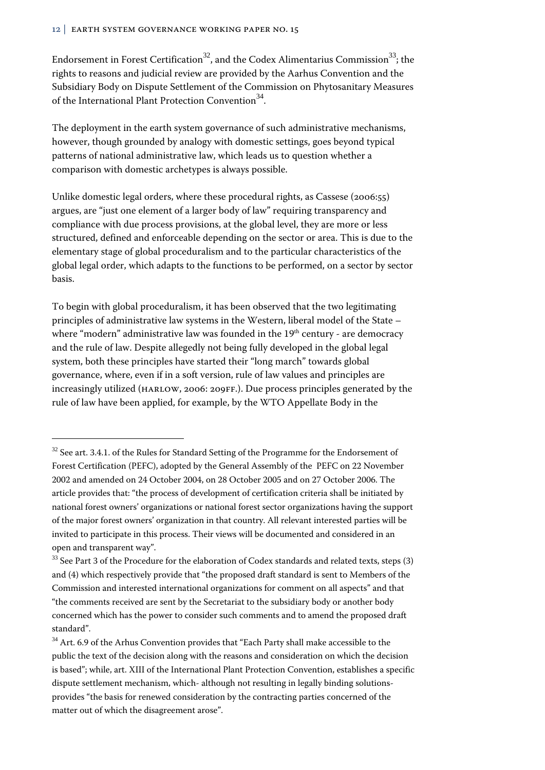Endorsement in Forest Certification<sup>32</sup>, and the Codex Alimentarius Commission<sup>33</sup>; the rights to reasons and judicial review are provided by the Aarhus Convention and the Subsidiary Body on Dispute Settlement of the Commission on Phytosanitary Measures of the International Plant Protection Convention<sup>34</sup>.

The deployment in the earth system governance of such administrative mechanisms, however, though grounded by analogy with domestic settings, goes beyond typical patterns of national administrative law, which leads us to question whether a comparison with domestic archetypes is always possible.

Unlike domestic legal orders, where these procedural rights, as Cassese (2006:55) argues, are "just one element of a larger body of law" requiring transparency and compliance with due process provisions, at the global level, they are more or less structured, defined and enforceable depending on the sector or area. This is due to the elementary stage of global proceduralism and to the particular characteristics of the global legal order, which adapts to the functions to be performed, on a sector by sector basis.

To begin with global proceduralism, it has been observed that the two legitimating principles of administrative law systems in the Western, liberal model of the State – where "modern" administrative law was founded in the  $19<sup>th</sup>$  century - are democracy and the rule of law. Despite allegedly not being fully developed in the global legal system, both these principles have started their "long march" towards global governance, where, even if in a soft version, rule of law values and principles are increasingly utilized (Harlow, 2006: 209ff.). Due process principles generated by the rule of law have been applied, for example, by the WTO Appellate Body in the

j

 $32$  See art. 3.4.1. of the Rules for Standard Setting of the Programme for the Endorsement of Forest Certification (PEFC), adopted by the General Assembly of the PEFC on 22 November 2002 and amended on 24 October 2004, on 28 October 2005 and on 27 October 2006. The article provides that: "the process of development of certification criteria shall be initiated by national forest owners' organizations or national forest sector organizations having the support of the major forest owners' organization in that country. All relevant interested parties will be invited to participate in this process. Their views will be documented and considered in an open and transparent way".

 $33$  See Part 3 of the Procedure for the elaboration of Codex standards and related texts, steps (3) and (4) which respectively provide that "the proposed draft standard is sent to Members of the Commission and interested international organizations for comment on all aspects" and that "the comments received are sent by the Secretariat to the subsidiary body or another body concerned which has the power to consider such comments and to amend the proposed draft standard".

<sup>&</sup>lt;sup>34</sup> Art. 6.9 of the Arhus Convention provides that "Each Party shall make accessible to the public the text of the decision along with the reasons and consideration on which the decision is based"; while, art. XIII of the International Plant Protection Convention, establishes a specific dispute settlement mechanism, which- although not resulting in legally binding solutionsprovides "the basis for renewed consideration by the contracting parties concerned of the matter out of which the disagreement arose".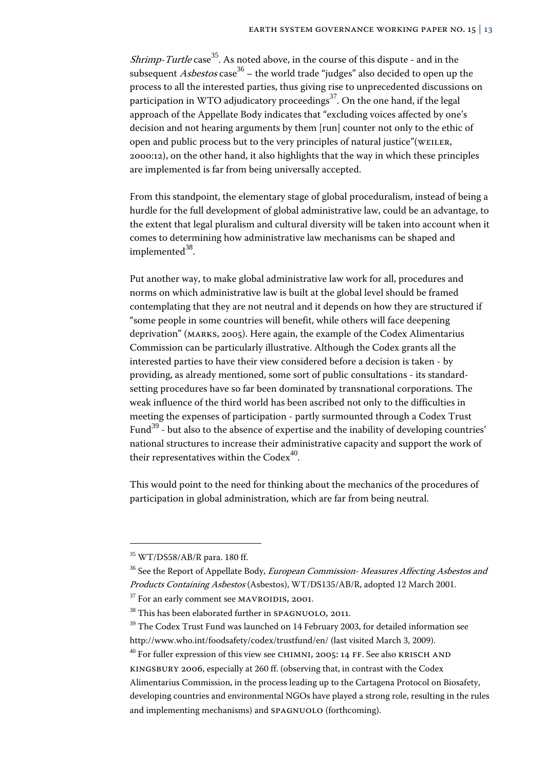*Shrimp-Turtle* case<sup>35</sup>. As noted above, in the course of this dispute - and in the subsequent *Asbestos* case<sup>36</sup> – the world trade "judges" also decided to open up the process to all the interested parties, thus giving rise to unprecedented discussions on participation in WTO adjudicatory proceedings $37$ . On the one hand, if the legal approach of the Appellate Body indicates that "excluding voices affected by one's decision and not hearing arguments by them [run] counter not only to the ethic of open and public process but to the very principles of natural justice"(WEILER, 2000:12), on the other hand, it also highlights that the way in which these principles are implemented is far from being universally accepted.

From this standpoint, the elementary stage of global proceduralism, instead of being a hurdle for the full development of global administrative law, could be an advantage, to the extent that legal pluralism and cultural diversity will be taken into account when it comes to determining how administrative law mechanisms can be shaped and implemented $38$ .

Put another way, to make global administrative law work for all, procedures and norms on which administrative law is built at the global level should be framed contemplating that they are not neutral and it depends on how they are structured if "some people in some countries will benefit, while others will face deepening deprivation" (Marks, 2005). Here again, the example of the Codex Alimentarius Commission can be particularly illustrative. Although the Codex grants all the interested parties to have their view considered before a decision is taken - by providing, as already mentioned, some sort of public consultations - its standardsetting procedures have so far been dominated by transnational corporations. The weak influence of the third world has been ascribed not only to the difficulties in meeting the expenses of participation - partly surmounted through a Codex Trust Fund<sup>39</sup> - but also to the absence of expertise and the inability of developing countries' national structures to increase their administrative capacity and support the work of their representatives within the  $\text{Codex}^{40}$ .

This would point to the need for thinking about the mechanics of the procedures of participation in global administration, which are far from being neutral.

-

 $40$  For fuller expression of this view see CHIMNI, 2005: 14 FF. See also KRISCH AND

<sup>35</sup> WT/DS58/AB/R para. 180 ff.

<sup>&</sup>lt;sup>36</sup> See the Report of Appellate Body, *European Commission- Measures Affecting Asbestos and* Products Containing Asbestos (Asbestos), WT/DS135/AB/R, adopted 12 March 2001.

 $37$  For an early comment see MAVROIDIS, 2001.

<sup>&</sup>lt;sup>38</sup> This has been elaborated further in SPAGNUOLO, 2011.

 $39$  The Codex Trust Fund was launched on 14 February 2003, for detailed information see http://www.who.int/foodsafety/codex/trustfund/en/ (last visited March 3, 2009).

kingsbury 2006, especially at 260 ff. (observing that, in contrast with the Codex Alimentarius Commission, in the process leading up to the Cartagena Protocol on Biosafety, developing countries and environmental NGOs have played a strong role, resulting in the rules and implementing mechanisms) and SPAGNUOLO (forthcoming).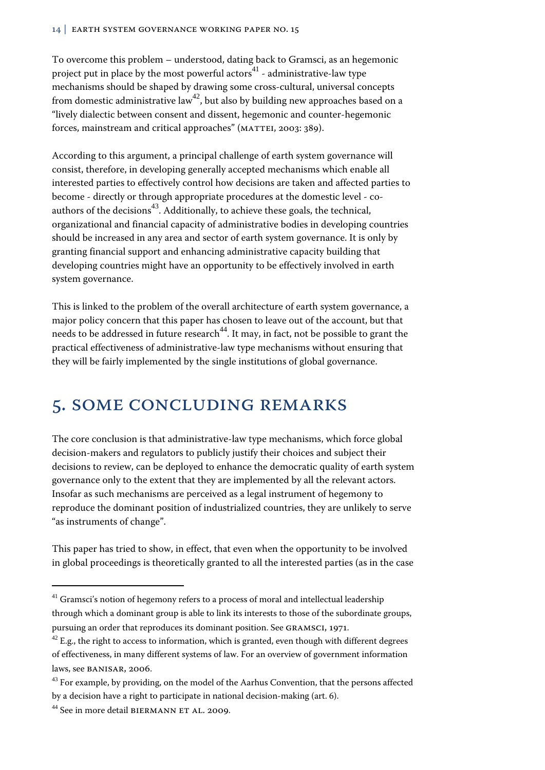#### 14 | EARTH System governance working paper No. 15

To overcome this problem – understood, dating back to Gramsci, as an hegemonic project put in place by the most powerful actors $41$  - administrative-law type mechanisms should be shaped by drawing some cross-cultural, universal concepts from domestic administrative law<sup>42</sup>, but also by building new approaches based on a "lively dialectic between consent and dissent, hegemonic and counter-hegemonic forces, mainstream and critical approaches" (MATTEI, 2003: 389).

According to this argument, a principal challenge of earth system governance will consist, therefore, in developing generally accepted mechanisms which enable all interested parties to effectively control how decisions are taken and affected parties to become - directly or through appropriate procedures at the domestic level - coauthors of the decisions<sup>43</sup>. Additionally, to achieve these goals, the technical, organizational and financial capacity of administrative bodies in developing countries should be increased in any area and sector of earth system governance. It is only by granting financial support and enhancing administrative capacity building that developing countries might have an opportunity to be effectively involved in earth system governance.

This is linked to the problem of the overall architecture of earth system governance, a major policy concern that this paper has chosen to leave out of the account, but that needs to be addressed in future research $44$ . It may, in fact, not be possible to grant the practical effectiveness of administrative-law type mechanisms without ensuring that they will be fairly implemented by the single institutions of global governance.

# 5. Some concluding remarks

The core conclusion is that administrative-law type mechanisms, which force global decision-makers and regulators to publicly justify their choices and subject their decisions to review, can be deployed to enhance the democratic quality of earth system governance only to the extent that they are implemented by all the relevant actors. Insofar as such mechanisms are perceived as a legal instrument of hegemony to reproduce the dominant position of industrialized countries, they are unlikely to serve "as instruments of change".

This paper has tried to show, in effect, that even when the opportunity to be involved in global proceedings is theoretically granted to all the interested parties (as in the case

j

 $41$  Gramsci's notion of hegemony refers to a process of moral and intellectual leadership through which a dominant group is able to link its interests to those of the subordinate groups, pursuing an order that reproduces its dominant position. See Gramsci, 1971.

 $42$  E.g., the right to access to information, which is granted, even though with different degrees of effectiveness, in many different systems of law. For an overview of government information laws, see BANISAR, 2006.

 $43$  For example, by providing, on the model of the Aarhus Convention, that the persons affected by a decision have a right to participate in national decision-making (art. 6).

<sup>&</sup>lt;sup>44</sup> See in more detail BIERMANN ET AL. 2009.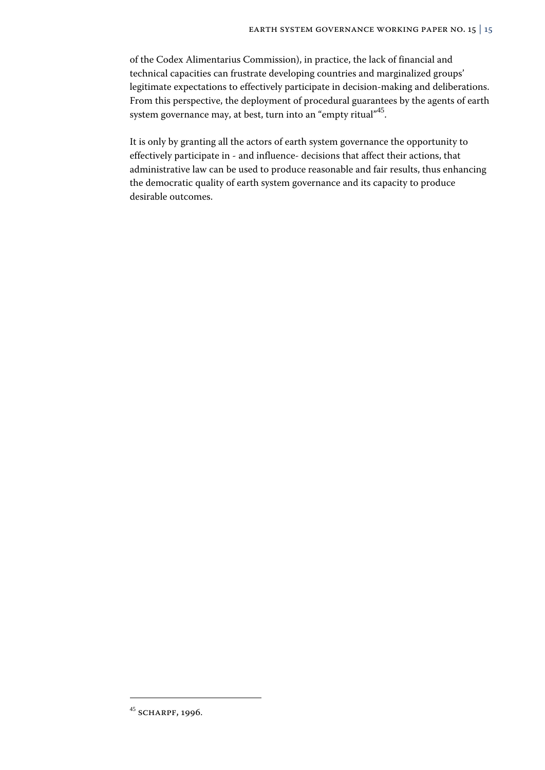of the Codex Alimentarius Commission), in practice, the lack of financial and technical capacities can frustrate developing countries and marginalized groups' legitimate expectations to effectively participate in decision-making and deliberations. From this perspective, the deployment of procedural guarantees by the agents of earth system governance may, at best, turn into an "empty ritual"<sup>45</sup>.

It is only by granting all the actors of earth system governance the opportunity to effectively participate in - and influence- decisions that affect their actions, that administrative law can be used to produce reasonable and fair results, thus enhancing the democratic quality of earth system governance and its capacity to produce desirable outcomes.

<sup>&</sup>lt;sup>45</sup> SCHARPF, 1996.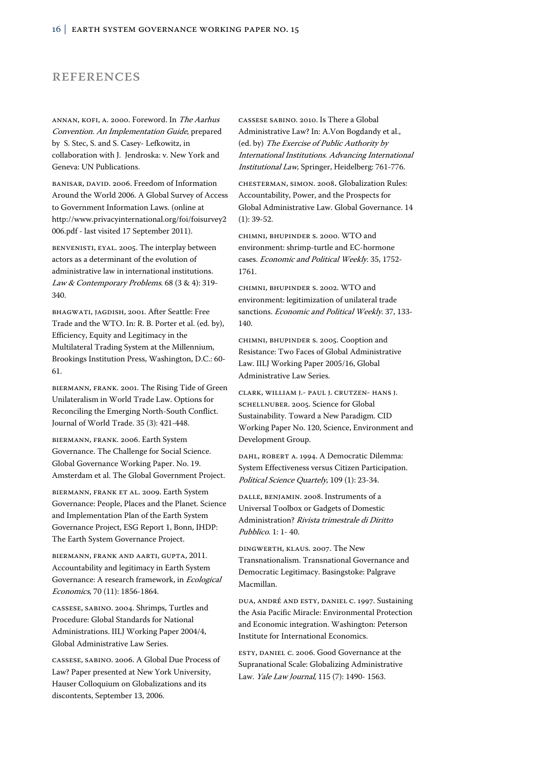### **REFERENCES**

ANNAN, KOFI, A. 2000. Foreword. In The Aarhus Convention. An Implementation Guide, prepared by S. Stec, S. and S. Casey- Lefkowitz, in collaboration with J. Jendroska: v. New York and Geneva: UN Publications.

BANISAR, DAVID. 2006. Freedom of Information Around the World 2006. A Global Survey of Access to Government Information Laws. (online at http://www.privacyinternational.org/foi/foisurvey2 006.pdf - last visited 17 September 2011).

Benvenisti, Eyal. 2005. The interplay between actors as a determinant of the evolution of administrative law in international institutions. Law & Contemporary Problems. 68 (3 & 4): 319-340.

Bhagwati, Jagdish, 2001. After Seattle: Free Trade and the WTO. In: R. B. Porter et al. (ed. by), Efficiency, Equity and Legitimacy in the Multilateral Trading System at the Millennium, Brookings Institution Press, Washington, D.C.: 60- 61.

Biermann, Frank. 2001. The Rising Tide of Green Unilateralism in World Trade Law. Options for Reconciling the Emerging North-South Conflict. Journal of World Trade. 35 (3): 421-448.

Biermann, Frank. 2006. Earth System Governance. The Challenge for Social Science. Global Governance Working Paper. No. 19. Amsterdam et al. The Global Government Project.

BIERMANN, FRANK ET AL. 2009. Earth System Governance: People, Places and the Planet. Science and Implementation Plan of the Earth System Governance Project, ESG Report 1, Bonn, IHDP: The Earth System Governance Project.

Biermann, Frank and aarti, Gupta, 2011. Accountability and legitimacy in Earth System Governance: A research framework, in Ecological Economics, 70 (11): 1856-1864.

Cassese, Sabino. 2004. Shrimps, Turtles and Procedure: Global Standards for National Administrations. IILJ Working Paper 2004/4, Global Administrative Law Series.

Cassese, Sabino. 2006. A Global Due Process of Law? Paper presented at New York University, Hauser Colloquium on Globalizations and its discontents, September 13, 2006.

Cassese Sabino. 2010. Is There a Global Administrative Law? In: A.Von Bogdandy et al., (ed. by) The Exercise of Public Authority by International Institutions. Advancing International Institutional Law, Springer, Heidelberg: 761-776.

Chesterman, Simon. 2008. Globalization Rules: Accountability, Power, and the Prospects for Global Administrative Law. Global Governance. 14 (1): 39-52.

Chimni, Bhupinder S. 2000. WTO and environment: shrimp-turtle and EC-hormone cases. Economic and Political Weekly. 35, 1752- 1761.

Chimni, Bhupinder S. 2002. WTO and environment: legitimization of unilateral trade sanctions. Economic and Political Weekly. 37, 133-140.

Chimni, Bhupinder S. 2005. Cooption and Resistance: Two Faces of Global Administrative Law. IILJ Working Paper 2005/16, Global Administrative Law Series.

Clark, William J.- Paul J. Crutzen- Hans J. SCHELLNUBER. 2005. Science for Global Sustainability. Toward a New Paradigm. CID Working Paper No. 120, Science, Environment and Development Group.

DAHL, ROBERT A. 1994. A Democratic Dilemma: System Effectiveness versus Citizen Participation. Political Science Quartely, 109 (1): 23-34.

Dalle, Benjamin. 2008. Instruments of a Universal Toolbox or Gadgets of Domestic Administration? Rivista trimestrale di Diritto Pubblico. 1: 1- 40.

Dingwerth, Klaus. 2007. The New Transnationalism. Transnational Governance and Democratic Legitimacy. Basingstoke: Palgrave Macmillan.

Dua, André and Esty, Daniel C. 1997. Sustaining the Asia Pacific Miracle: Environmental Protection and Economic integration. Washington: Peterson Institute for International Economics.

Esty, Daniel C. 2006. Good Governance at the Supranational Scale: Globalizing Administrative Law. Yale Law Journal, 115 (7): 1490- 1563.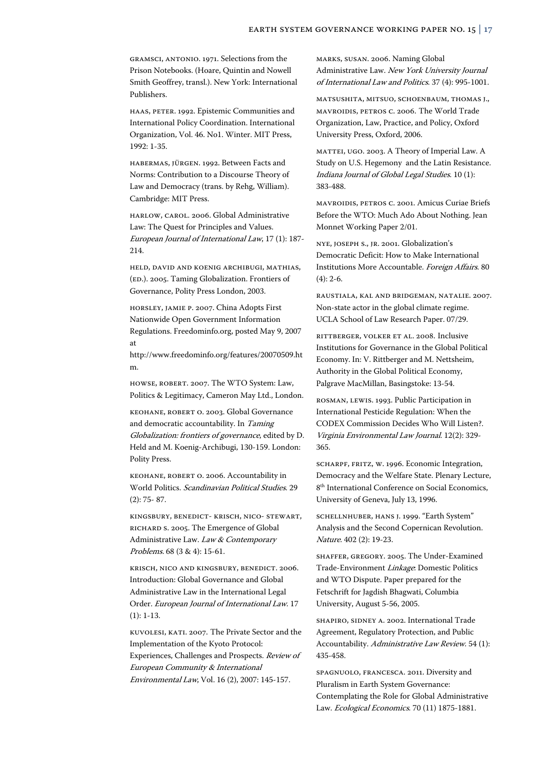Gramsci, Antonio. 1971. Selections from the Prison Notebooks. (Hoare, Quintin and Nowell Smith Geoffrey, transl.). New York: International Publishers.

Haas, Peter. 1992. Epistemic Communities and International Policy Coordination. International Organization, Vol. 46. No1. Winter. MIT Press, 1992: 1-35.

Habermas, Jürgen. 1992. Between Facts and Norms: Contribution to a Discourse Theory of Law and Democracy (trans. by Rehg, William). Cambridge: MIT Press.

Harlow, Carol. 2006. Global Administrative Law: The Quest for Principles and Values. European Journal of International Law, 17 (1): 187- 214.

Held, David and Koenig Archibugi, Mathias, (ED.). 2005. Taming Globalization. Frontiers of Governance, Polity Press London, 2003.

Horsley, Jamie P. 2007. China Adopts First Nationwide Open Government Information Regulations. Freedominfo.org, posted May 9, 2007 at

http://www.freedominfo.org/features/20070509.ht m.

Howse, Robert. 2007. The WTO System: Law, Politics & Legitimacy, Cameron May Ltd., London.

Keohane, Robert O. 2003. Global Governance and democratic accountability. In Taming Globalization: frontiers of governance, edited by D. Held and M. Koenig-Archibugi, 130-159. London: Polity Press.

Keohane, Robert O. 2006. Accountability in World Politics. Scandinavian Political Studies. 29 (2): 75- 87.

Kingsbury, Benedict- Krisch, Nico- Stewart, Richard S. 2005. The Emergence of Global Administrative Law. Law & Contemporary Problems. 68 (3 & 4): 15-61.

Krisch, Nico and Kingsbury, Benedict. 2006. Introduction: Global Governance and Global Administrative Law in the International Legal Order. European Journal of International Law. 17 (1): 1-13.

Kuvolesi, Kati. 2007. The Private Sector and the Implementation of the Kyoto Protocol: Experiences, Challenges and Prospects. Review of European Community & International Environmental Law, Vol. 16 (2), 2007: 145-157.

Marks, Susan. 2006. Naming Global Administrative Law. New York University Journal of International Law and Politics. 37 (4): 995-1001.

Matsushita, Mitsuo, Schoenbaum, Thomas J., Mavroidis, Petros C. 2006. The World Trade Organization, Law, Practice, and Policy, Oxford University Press, Oxford, 2006.

Mattei, Ugo. 2003. A Theory of Imperial Law. A Study on U.S. Hegemony and the Latin Resistance. Indiana Journal of Global Legal Studies. 10 (1): 383-488.

Mavroidis, Petros C. 2001. Amicus Curiae Briefs Before the WTO: Much Ado About Nothing. Jean Monnet Working Paper 2/01.

Nye, Joseph S., jr. 2001. Globalization's Democratic Deficit: How to Make International Institutions More Accountable. Foreign Affairs. 80 (4): 2-6.

Raustiala, Kal and Bridgeman, Natalie. 2007. Non-state actor in the global climate regime. UCLA School of Law Research Paper. 07/29.

Rittberger, Volker et al. 2008. Inclusive Institutions for Governance in the Global Political Economy. In: V. Rittberger and M. Nettsheim, Authority in the Global Political Economy, Palgrave MacMillan, Basingstoke: 13-54.

Rosman, Lewis. 1993. Public Participation in International Pesticide Regulation: When the CODEX Commission Decides Who Will Listen?. Virginia Environmental Law Journal. 12(2): 329- 365.

Scharpf, Fritz, W. 1996. Economic Integration, Democracy and the Welfare State. Plenary Lecture, 8<sup>th</sup> International Conference on Social Economics, University of Geneva, July 13, 1996.

Schellnhuber, Hans J. 1999. "Earth System" Analysis and the Second Copernican Revolution. Nature. 402 (2): 19-23.

Shaffer, Gregory. 2005. The Under-Examined Trade-Environment Linkage: Domestic Politics and WTO Dispute. Paper prepared for the Fetschrift for Jagdish Bhagwati, Columbia University, August 5-56, 2005.

SHAPIRO, SIDNEY A. 2002. International Trade Agreement, Regulatory Protection, and Public Accountability. Administrative Law Review. 54 (1): 435-458.

Spagnuolo, Francesca. 2011. Diversity and Pluralism in Earth System Governance: Contemplating the Role for Global Administrative Law. Ecological Economics. 70 (11) 1875-1881.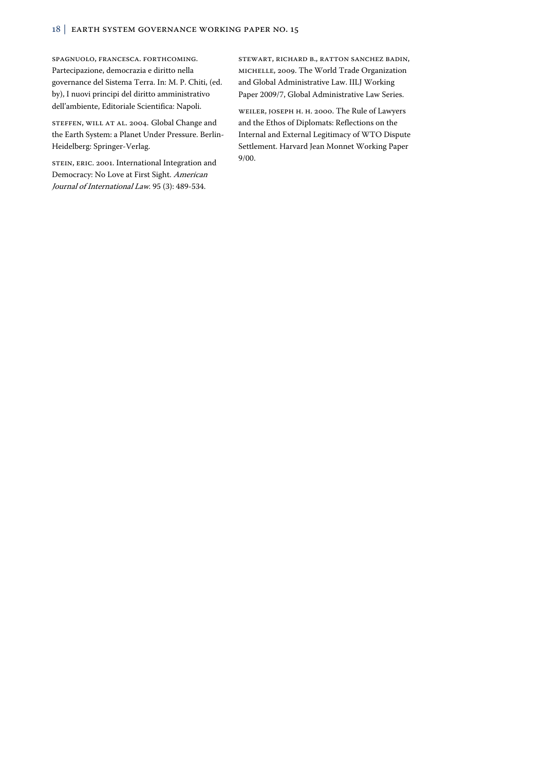Spagnuolo, Francesca. forthcoming. Partecipazione, democrazia e diritto nella governance del Sistema Terra. In: M. P. Chiti, (ed. by), I nuovi principi del diritto amministrativo dell'ambiente, Editoriale Scientifica: Napoli.

STEFFEN, WILL AT AL. 2004. Global Change and the Earth System: a Planet Under Pressure. Berlin-Heidelberg: Springer-Verlag.

STEIN, ERIC. 2001. International Integration and Democracy: No Love at First Sight. American Journal of International Law. 95 (3): 489-534.

Stewart, Richard B., Ratton Sanchez Badin, Michelle, 2009. The World Trade Organization and Global Administrative Law. IILJ Working Paper 2009/7, Global Administrative Law Series.

Weiler, Joseph H. H. 2000. The Rule of Lawyers and the Ethos of Diplomats: Reflections on the Internal and External Legitimacy of WTO Dispute Settlement. Harvard Jean Monnet Working Paper 9/00.